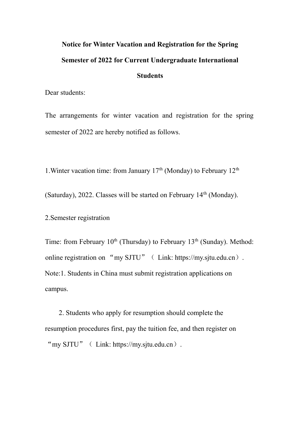# **Notice for Winter Vacation and Registration for the Spring Semester of 2022 for Current Undergraduate International Students**

Dear students:

The arrangements for winter vacation and registration for the spring semester of 2022 are hereby notified as follows.

1. Winter vacation time: from January  $17<sup>th</sup>$  (Monday) to February  $12<sup>th</sup>$ 

(Saturday), 2022. Classes will be started on February  $14<sup>th</sup>$  (Monday).

2.Semester registration

Time: from February 10<sup>th</sup> (Thursday) to February 13<sup>th</sup> (Sunday). Method: online registration on "my SJTU" ( Link: https://my.sjtu.edu.cn). Note:1. Students in China must submit registration applications on campus.

 2. Students who apply for resumption should complete the resumption procedures first, pay the tuition fee, and then register on "my SJTU" ( Link: https://my.situ.edu.cn).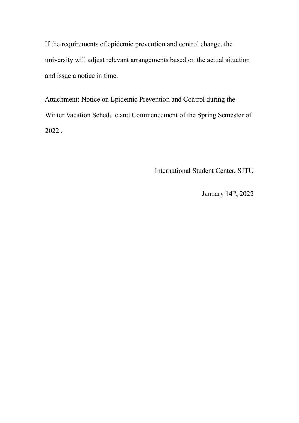If the requirements of epidemic prevention and control change, the university will adjust relevant arrangements based on the actual situation and issue a notice in time.

Attachment: Notice on Epidemic Prevention and Control during the Winter Vacation Schedule and Commencement of the Spring Semester of 2022 .

International Student Center, SJTU

January 14<sup>th</sup>, 2022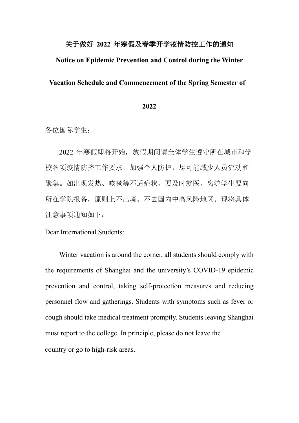## 关于做好 **2022** 年寒假及春季开学疫情防控工作的通知

### **Notice on Epidemic Prevention and Control during the Winter**

#### **Vacation Schedule and Commencement of the Spring Semester of**

#### **2022**

各位国际学生:

2022 年寒假即将开始,放假期间请全体学生遵守所在城市和学 校各项疫情防控工作要求,加强个人防护,尽可能减少人员流动和 聚集。如出现发热、咳嗽等不适症状,要及时就医。离沪学生要向 所在学院报备,原则上不出境、不去国内中高风险地区。现将具体 注意事项通知如下:

Dear International Students:

 Winter vacation is around the corner, all students should comply with the requirements of Shanghai and the university's COVID-19 epidemic prevention and control, taking self-protection measures and reducing personnel flow and gatherings. Students with symptoms such as fever or cough should take medical treatment promptly. Students leaving Shanghai must report to the college. In principle, please do not leave the country or go to high-risk areas.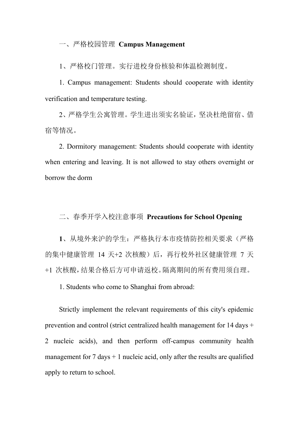## 一、严格校园管理 **Campus Management**

1、严格校门管理。实行进校身份核验和体温检测制度。

1. Campus management: Students should cooperate with identity verification and temperature testing.

2、严格学生公寓管理。学生进出须实名验证,坚决杜绝留宿、借 宿等情况。

2. Dormitory management: Students should cooperate with identity when entering and leaving. It is not allowed to stay others overnight or borrow the dorm

二、春季开学入校注意事项 **Precautions for School Opening** 

**1**、从境外来沪的学生:严格执行本市疫情防控相关要求(严格 的集中健康管理 14 天+2 次核酸)后,再行校外社区健康管理 7 天 +1 次核酸,结果合格后方可申请返校。隔离期间的所有费用须自理。

1. Students who come to Shanghai from abroad:

Strictly implement the relevant requirements of this city's epidemic prevention and control (strict centralized health management for 14 days + 2 nucleic acids), and then perform off-campus community health management for  $7 \text{ days} + 1$  nucleic acid, only after the results are qualified apply to return to school.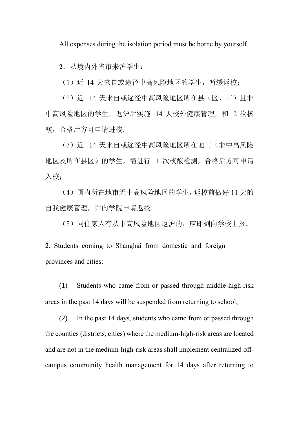All expenses during the isolation period must be borne by yourself.

**2**、从境内外省市来沪学生:

(1)近 14 天来自或途径中高风险地区的学生,暂缓返校;

(2)近 14 天来自或途径中高风险地区所在县(区、市)且非 中高风险地区的学生,返沪后实施 14 天校外健康管理, 和 2 次核 酸,合格后方可申请进校;

(3)近 14 天来自或途径中高风险地区所在地市(非中高风险 地区及所在县区)的学生,需进行 1 次核酸检测,合格后方可申请 入校;

(4)国内所在地市无中高风险地区的学生,返校前做好 14 天的 自我健康管理,并向学院申请返校。

(5)同住家人有从中高风险地区返沪的,应即刻向学校上报。

2. Students coming to Shanghai from domestic and foreign provinces and cities:

(1) Students who came from or passed through middle-high-risk areas in the past 14 days will be suspended from returning to school;

(2) In the past 14 days, students who came from or passed through the counties (districts, cities) where the medium-high-risk areas are located and are not in the medium-high-risk areas shall implement centralized offcampus community health management for 14 days after returning to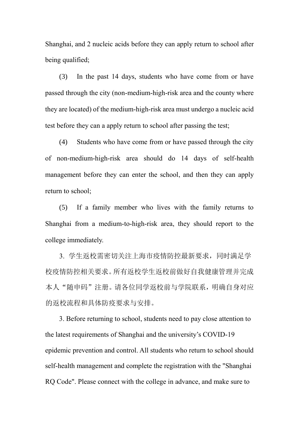Shanghai, and 2 nucleic acids before they can apply return to school after being qualified;

(3) In the past 14 days, students who have come from or have passed through the city (non-medium-high-risk area and the county where they are located) of the medium-high-risk area must undergo a nucleic acid test before they can a apply return to school after passing the test;

(4) Students who have come from or have passed through the city of non-medium-high-risk area should do 14 days of self-health management before they can enter the school, and then they can apply return to school;

(5) If a family member who lives with the family returns to Shanghai from a medium-to-high-risk area, they should report to the college immediately.

3. 学生返校需密切关注上海市疫情防控最新要求,同时满足学 校疫情防控相关要求。所有返校学生返校前做好自我健康管理并完成 本人"随申码"注册。请各位同学返校前与学院联系,明确自身对应 的返校流程和具体防疫要求与安排。

 3. Before returning to school, students need to pay close attention to the latest requirements of Shanghai and the university's COVID-19 epidemic prevention and control. All students who return to school should self-health management and complete the registration with the "Shanghai RQ Code". Please connect with the college in advance, and make sure to